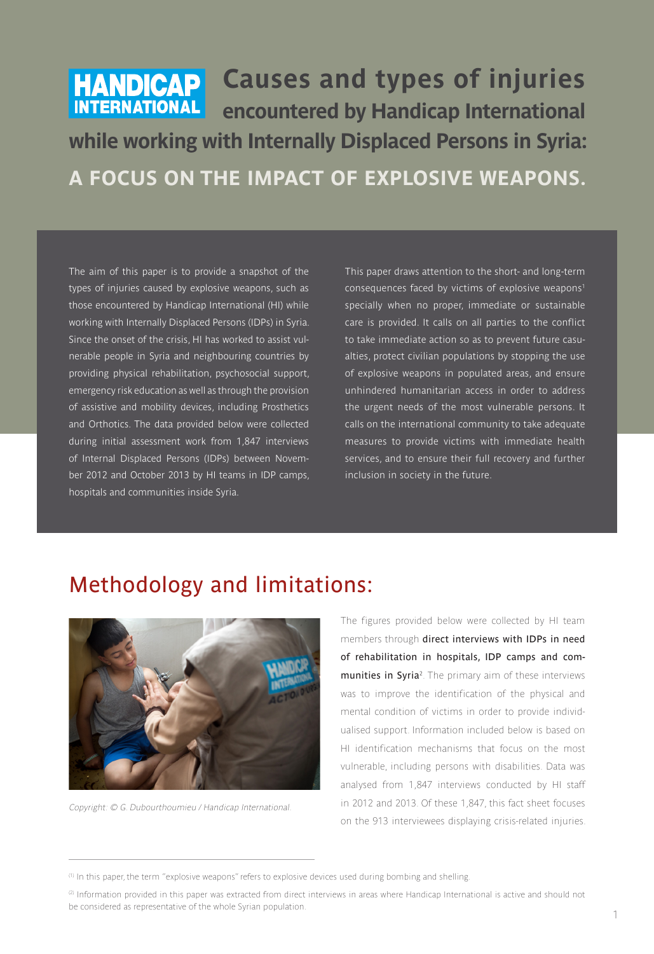# **HANDICAP** Causes and types of injuries **INTERNATIONAL** encountered by Handicap International **while working with Internally Displaced Persons in Syria: A FOCUS ON THE IMPACT OF EXPLOSIVE WEAPONS.**

**The aim of this paper is to provide a snapshot of the types of injuries caused by explosive weapons, such as those encountered by Handicap International (HI) while working with Internally Displaced Persons (IDPs) in Syria. Since the onset of the crisis, HI has worked to assist vulnerable people in Syria and neighbouring countries by providing physical rehabilitation, psychosocial support, emergency risk education as well as through the provision of assistive and mobility devices, including Prosthetics and Orthotics. The data provided below were collected during initial assessment work from 1,847 interviews of Internal Displaced Persons (IDPs) between November 2012 and October 2013 by HI teams in IDP camps, hospitals and communities inside Syria.** 

**This paper draws attention to the short- and long-term consequences faced by victims of explosive weapons1 specially when no proper, immediate or sustainable care is provided. It calls on all parties to the conflict to take immediate action so as to prevent future casualties, protect civilian populations by stopping the use of explosive weapons in populated areas, and ensure unhindered humanitarian access in order to address the urgent needs of the most vulnerable persons. It calls on the international community to take adequate measures to provide victims with immediate health services, and to ensure their full recovery and further inclusion in society in the future.**

#### Methodology and limitations:



Copyright: © G. Dubourthoumieu / Handicap International.

The figures provided below were collected by HI team members through direct interviews with IDPs in need of rehabilitation in hospitals, IDP camps and com**munities in Syria**<sup>2</sup>. The primary aim of these interviews was to improve the identification of the physical and mental condition of victims in order to provide individualised support. Information included below is based on HI identification mechanisms that focus on the most vulnerable, including persons with disabilities. Data was analysed from 1,847 interviews conducted by HI staff in 2012 and 2013. Of these 1,847, this fact sheet focuses on the 913 interviewees displaying crisis-related injuries.

<sup>(1)</sup> In this paper, the term "explosive weapons" refers to explosive devices used during bombing and shelling.

<sup>(2)</sup> Information provided in this paper was extracted from direct interviews in areas where Handicap International is active and should not be considered as representative of the whole Syrian population.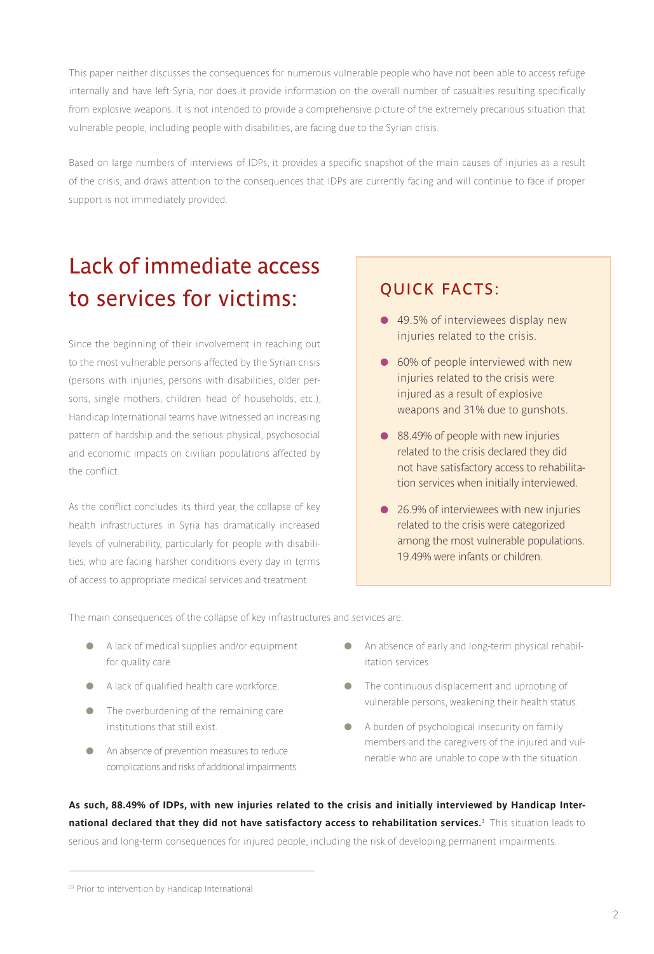This paper neither discusses the consequences for numerous vulnerable people who have not been able to access refuge internally and have left Syria, nor does it provide information on the overall number of casualties resulting specifically from explosive weapons. It is not intended to provide a comprehensive picture of the extremely precarious situation that vulnerable people, including people with disabilities, are facing due to the Syrian crisis.

Based on large numbers of interviews of IDPs, it provides a specific snapshot of the main causes of injuries as a result of the crisis, and draws attention to the consequences that IDPs are currently facing and will continue to face if proper support is not immediately provided.

### Lack of immediate access to services for victims: QUICK FACTS:

Since the beginning of their involvement in reaching out to the most vulnerable persons affected by the Syrian crisis (persons with injuries, persons with disabilities, older persons, single mothers, children head of households, etc.), Handicap International teams have witnessed an increasing pattern of hardship and the serious physical, psychosocial and economic impacts on civilian populations affected by the conflict.

As the conflict concludes its third year, the collapse of key health infrastructures in Syria has dramatically increased levels of vulnerability, particularly for people with disabilities, who are facing harsher conditions every day in terms of access to appropriate medical services and treatment.

- 49.5% of interviewees display new **injuries related to the crisis.**
- **60% of people interviewed with new injuries related to the crisis were injured as a result of explosive weapons and 31% due to gunshots.**
- 88.49% of people with new injuries **related to the crisis declared they did not have satisfactory access to rehabilitation services when initially interviewed.**
- **26.9% of interviewees with new injuries related to the crisis were categorized among the most vulnerable populations. 19.49% were infants or children.**

The main consequences of the collapse of key infrastructures and services are:

- A lack of medical supplies and/or equipment for quality care.
- A lack of qualified health care workforce.
- The overburdening of the remaining care institutions that still exist.
- An absence of prevention measures to reduce complications and risks of additional impairments.
- An absence of early and long-term physical rehabilitation services.
- The continuous displacement and uprooting of vulnerable persons, weakening their health status.
- A burden of psychological insecurity on family members and the caregivers of the injured and vulnerable who are unable to cope with the situation.

**As such, 88.49% of IDPs, with new injuries related to the crisis and initially interviewed by Handicap International declared that they did not have satisfactory access to rehabilitation services.<sup>3</sup>** This situation leads to serious and long-term consequences for injured people, including the risk of developing permanent impairments.

<sup>(3)</sup> Prior to intervention by Handicap International.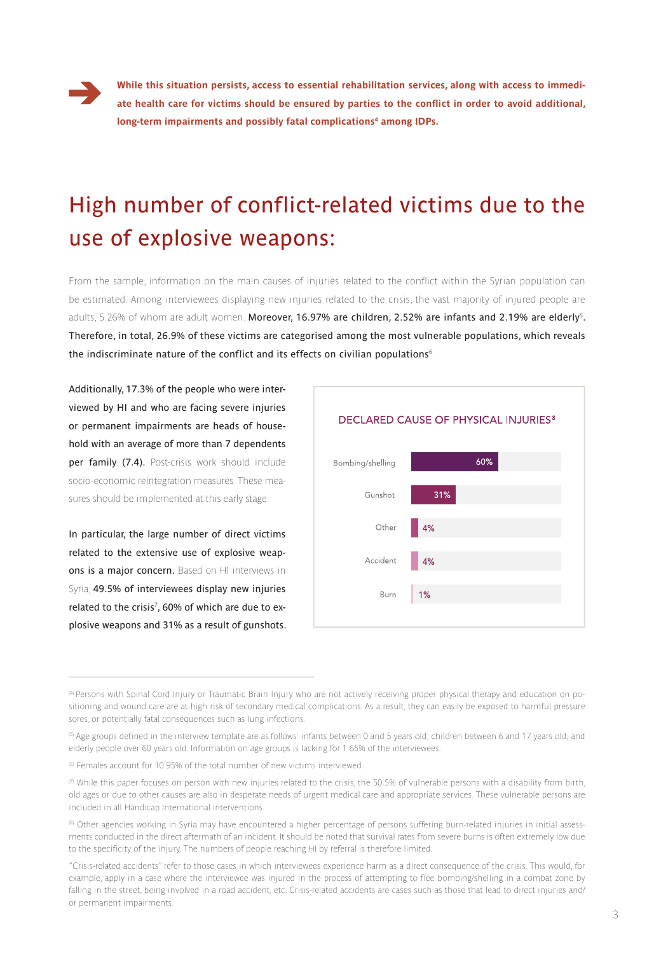

**While this situation persists, access to essential rehabilitation services, along with access to immediate health care for victims should be ensured by parties to the conflict in order to avoid additional,**  long-term impairments and possibly fatal complications<sup>4</sup> among IDPs.

## High number of conflict-related victims due to the use of explosive weapons:

From the sample, information on the main causes of injuries related to the conflict within the Syrian population can be estimated. Among interviewees displaying new injuries related to the crisis, the vast majority of injured people are adults, 5.26% of whom are adult women. Moreover, 16.97% are children, 2.52% are infants and 2.19% are elderly**<sup>5</sup>** . Therefore, in total, 26.9% of these victims are categorised among the most vulnerable populations, which reveals the indiscriminate nature of the conflict and its effects on civilian populations**<sup>6</sup>** .

Additionally, 17.3% of the people who were interviewed by HI and who are facing severe injuries or permanent impairments are heads of household with an average of more than 7 dependents per family (7.4). Post-crisis work should include socio-economic reintegration measures. These measures should be implemented at this early stage.

In particular, the large number of direct victims related to the extensive use of explosive weapons is a major concern. Based on HI interviews in Syria, 49.5% of interviewees display new injuries related to the crisis**<sup>7</sup>** , 60% of which are due to explosive weapons and 31% as a result of gunshots.



<sup>(4)</sup> Persons with Spinal Cord Injury or Traumatic Brain Injury who are not actively receiving proper physical therapy and education on positioning and wound care are at high risk of secondary medical complications. As a result, they can easily be exposed to harmful pressure sores, or potentially fatal consequences such as lung infections.

(8) Other agencies working in Syria may have encountered a higher percentage of persons suffering burn-related injuries in initial assessments conducted in the direct aftermath of an incident. It should be noted that survival rates from severe burns is often extremely low due to the specificity of the injury. The numbers of people reaching HI by referral is therefore limited.

<sup>(5)</sup> Age groups defined in the interview template are as follows: infants between 0 and 5 years old; children between 6 and 17 years old; and elderly people over 60 years old. Information on age groups is lacking for 1.65% of the interviewees.

<sup>(6)</sup> Females account for 10.95% of the total number of new victims interviewed.

 $\sigma$  While this paper focuses on person with new injuries related to the crisis, the 50.5% of vulnerable persons with a disability from birth, old ages or due to other causes are also in desperate needs of urgent medical care and appropriate services. These vulnerable persons are included in all Handicap International interventions.

<sup>&</sup>quot;Crisis-related accidents" refer to those cases in which interviewees experience harm as a direct consequence of the crisis. This would, for example, apply in a case where the interviewee was injured in the process of attempting to flee bombing/shelling in a combat zone by falling in the street, being involved in a road accident, etc. Crisis-related accidents are cases such as those that lead to direct injuries and/ or permanent impairments.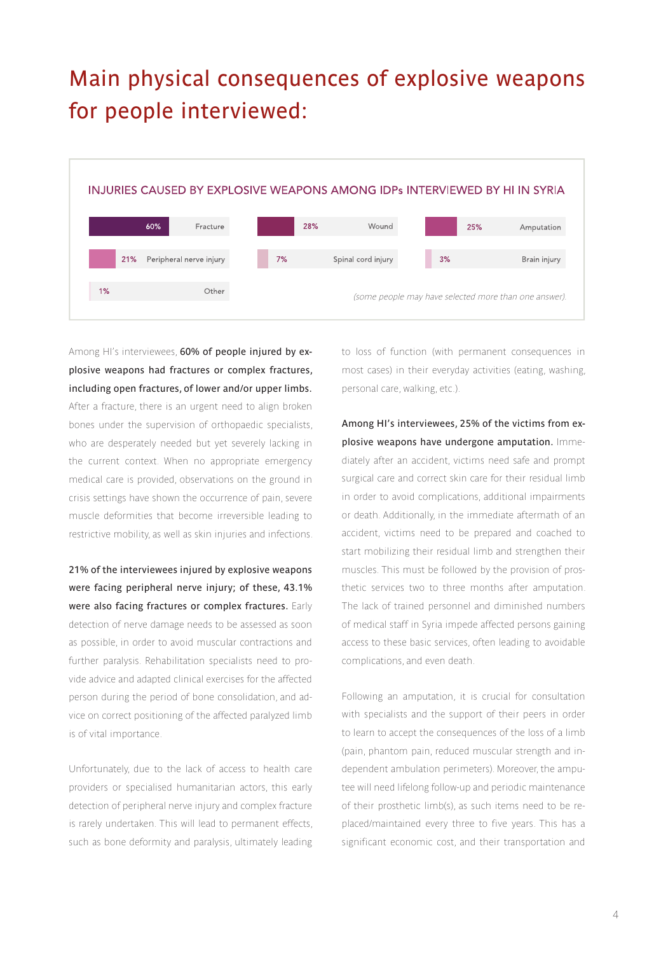#### Main physical consequences of explosive weapons for people interviewed:



Among HI's interviewees, 60% of people injured by explosive weapons had fractures or complex fractures, including open fractures, of lower and/or upper limbs. After a fracture, there is an urgent need to align broken bones under the supervision of orthopaedic specialists, who are desperately needed but yet severely lacking in the current context. When no appropriate emergency medical care is provided, observations on the ground in crisis settings have shown the occurrence of pain, severe muscle deformities that become irreversible leading to restrictive mobility, as well as skin injuries and infections.

21% of the interviewees injured by explosive weapons were facing peripheral nerve injury; of these, 43.1% were also facing fractures or complex fractures. Early detection of nerve damage needs to be assessed as soon as possible, in order to avoid muscular contractions and further paralysis. Rehabilitation specialists need to provide advice and adapted clinical exercises for the affected person during the period of bone consolidation, and advice on correct positioning of the affected paralyzed limb is of vital importance.

Unfortunately, due to the lack of access to health care providers or specialised humanitarian actors, this early detection of peripheral nerve injury and complex fracture is rarely undertaken. This will lead to permanent effects, such as bone deformity and paralysis, ultimately leading to loss of function (with permanent consequences in most cases) in their everyday activities (eating, washing, personal care, walking, etc.).

Among HI's interviewees, 25% of the victims from explosive weapons have undergone amputation. Immediately after an accident, victims need safe and prompt surgical care and correct skin care for their residual limb in order to avoid complications, additional impairments or death. Additionally, in the immediate aftermath of an accident, victims need to be prepared and coached to start mobilizing their residual limb and strengthen their muscles. This must be followed by the provision of prosthetic services two to three months after amputation. The lack of trained personnel and diminished numbers of medical staff in Syria impede affected persons gaining access to these basic services, often leading to avoidable complications, and even death.

Following an amputation, it is crucial for consultation with specialists and the support of their peers in order to learn to accept the consequences of the loss of a limb (pain, phantom pain, reduced muscular strength and independent ambulation perimeters). Moreover, the amputee will need lifelong follow-up and periodic maintenance of their prosthetic limb(s), as such items need to be replaced/maintained every three to five years. This has a significant economic cost, and their transportation and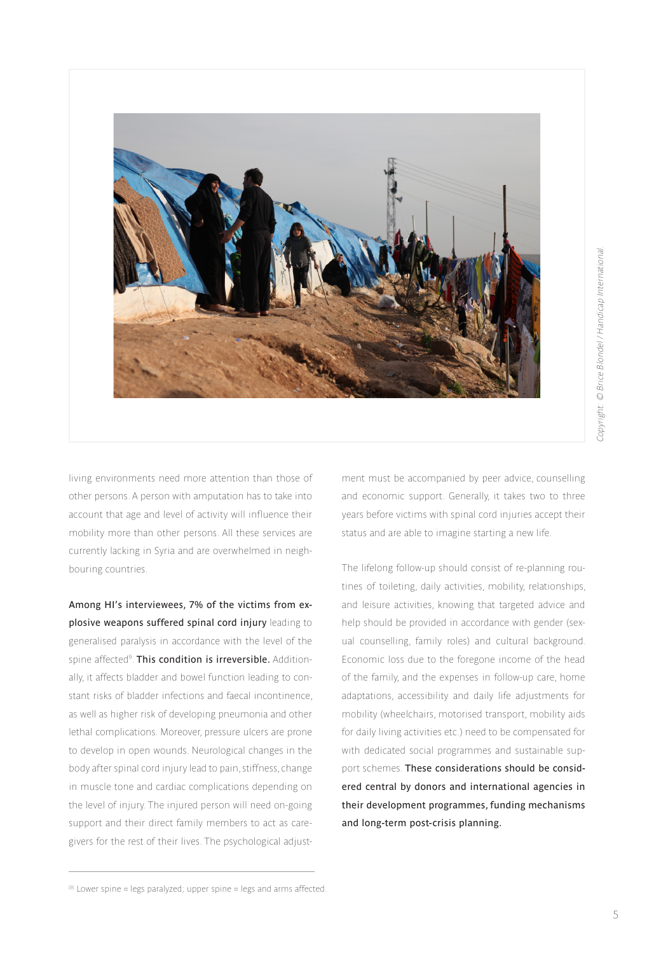

living environments need more attention than those of other persons. A person with amputation has to take into account that age and level of activity will influence their mobility more than other persons. All these services are currently lacking in Syria and are overwhelmed in neighbouring countries.

Among HI's interviewees, 7% of the victims from explosive weapons suffered spinal cord injury leading to generalised paralysis in accordance with the level of the spine affected<sup>9</sup>. **This condition is irreversible.** Additionally, it affects bladder and bowel function leading to constant risks of bladder infections and faecal incontinence, as well as higher risk of developing pneumonia and other lethal complications. Moreover, pressure ulcers are prone to develop in open wounds. Neurological changes in the body after spinal cord injury lead to pain, stiffness, change in muscle tone and cardiac complications depending on the level of injury. The injured person will need on-going support and their direct family members to act as caregivers for the rest of their lives. The psychological adjustment must be accompanied by peer advice, counselling and economic support. Generally, it takes two to three years before victims with spinal cord injuries accept their status and are able to imagine starting a new life.

The lifelong follow-up should consist of re-planning routines of toileting, daily activities, mobility, relationships, and leisure activities, knowing that targeted advice and help should be provided in accordance with gender (sexual counselling, family roles) and cultural background. Economic loss due to the foregone income of the head of the family, and the expenses in follow-up care, home adaptations, accessibility and daily life adjustments for mobility (wheelchairs, motorised transport, mobility aids for daily living activities etc.) need to be compensated for with dedicated social programmes and sustainable support schemes. These considerations should be considered central by donors and international agencies in their development programmes, funding mechanisms and long-term post-crisis planning.

 $(9)$  Lower spine = legs paralyzed; upper spine = legs and arms affected.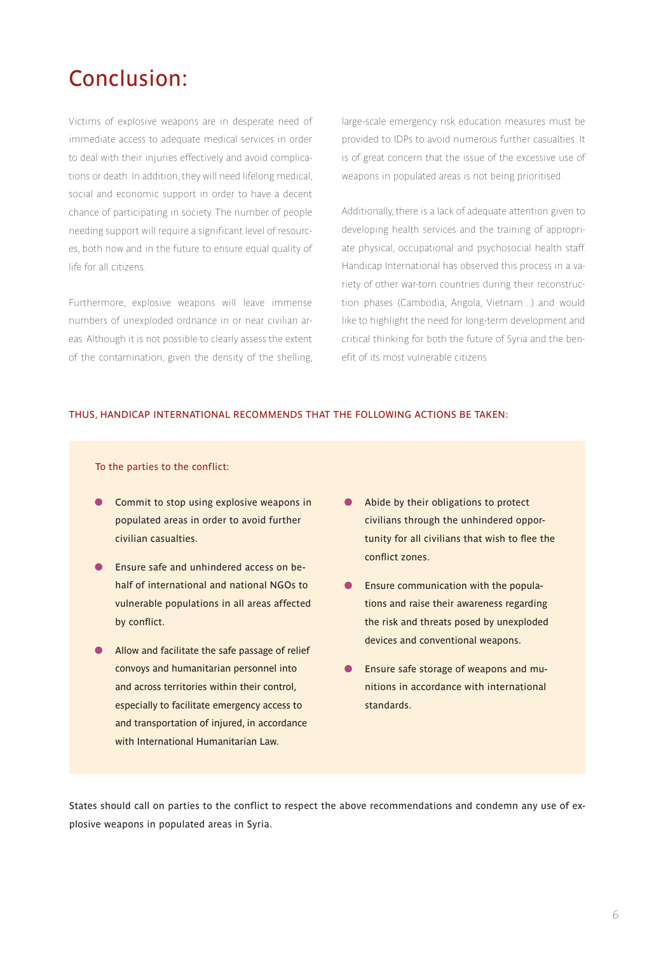#### Conclusion:

Victims of explosive weapons are in desperate need of immediate access to adequate medical services in order to deal with their injuries effectively and avoid complications or death. In addition, they will need lifelong medical, social and economic support in order to have a decent chance of participating in society. The number of people needing support will require a significant level of resources, both now and in the future to ensure equal quality of life for all citizens.

Furthermore, explosive weapons will leave immense numbers of unexploded ordnance in or near civilian areas. Although it is not possible to clearly assess the extent of the contamination, given the density of the shelling,

large-scale emergency risk education measures must be provided to IDPs to avoid numerous further casualties. It is of great concern that the issue of the excessive use of weapons in populated areas is not being prioritised.

Additionally, there is a lack of adequate attention given to developing health services and the training of appropriate physical, occupational and psychosocial health staff. Handicap International has observed this process in a variety of other war-torn countries during their reconstruction phases (Cambodia, Angola, Vietnam...) and would like to highlight the need for long-term development and critical thinking for both the future of Syria and the benefit of its most vulnerable citizens.

#### THUS, HANDICAP INTERNATIONAL RECOMMENDS THAT THE FOLLOWING ACTIONS BE TAKEN:

To the parties to the conflict:

- Commit to stop using explosive weapons in populated areas in order to avoid further civilian casualties.
- **Ensure safe and unhindered access on be**half of international and national NGOs to vulnerable populations in all areas affected by conflict.
- Allow and facilitate the safe passage of relief convoys and humanitarian personnel into and across territories within their control, especially to facilitate emergency access to and transportation of injured, in accordance with International Humanitarian Law.
- Abide by their obligations to protect civilians through the unhindered opportunity for all civilians that wish to flee the conflict zones.
- **Ensure communication with the popula**tions and raise their awareness regarding the risk and threats posed by unexploded devices and conventional weapons.
- **Ensure safe storage of weapons and mu**nitions in accordance with international standards.

States should call on parties to the conflict to respect the above recommendations and condemn any use of explosive weapons in populated areas in Syria.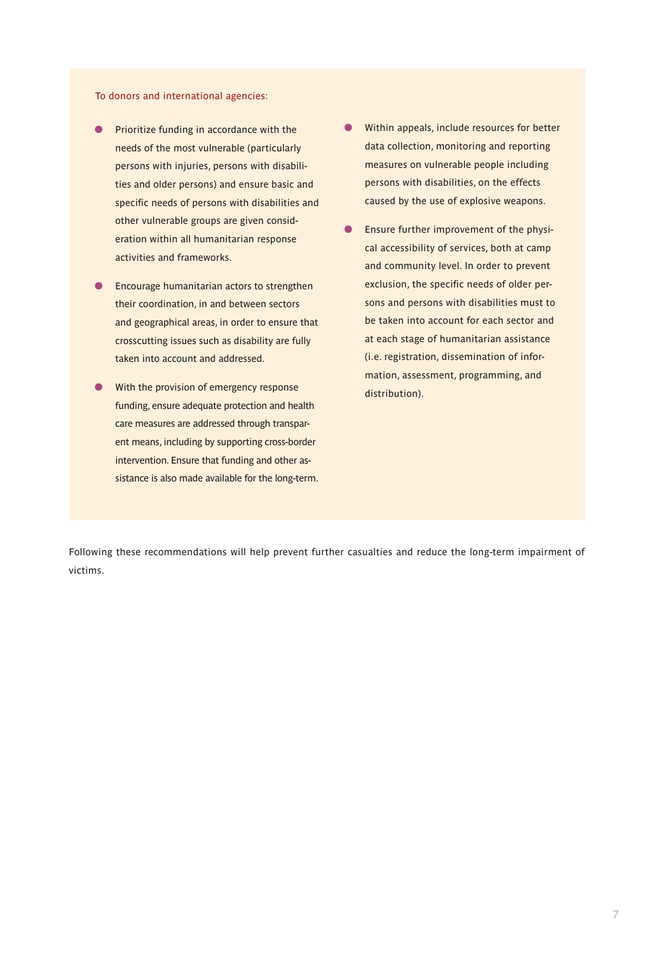#### To donors and international agencies:

- **•** Prioritize funding in accordance with the needs of the most vulnerable (particularly persons with injuries, persons with disabilities and older persons) and ensure basic and specific needs of persons with disabilities and other vulnerable groups are given consideration within all humanitarian response activities and frameworks.
- **•** Encourage humanitarian actors to strengthen their coordination, in and between sectors and geographical areas, in order to ensure that crosscutting issues such as disability are fully taken into account and addressed.
- With the provision of emergency response funding, ensure adequate protection and health care measures are addressed through transparent means, including by supporting cross-border intervention. Ensure that funding and other assistance is also made available for the long-term.
- Within appeals, include resources for better data collection, monitoring and reporting measures on vulnerable people including persons with disabilities, on the effects caused by the use of explosive weapons.
- **C** Ensure further improvement of the physical accessibility of services, both at camp and community level. In order to prevent exclusion, the specific needs of older persons and persons with disabilities must to be taken into account for each sector and at each stage of humanitarian assistance (i.e. registration, dissemination of information, assessment, programming, and distribution).

Following these recommendations will help prevent further casualties and reduce the long-term impairment of victims.